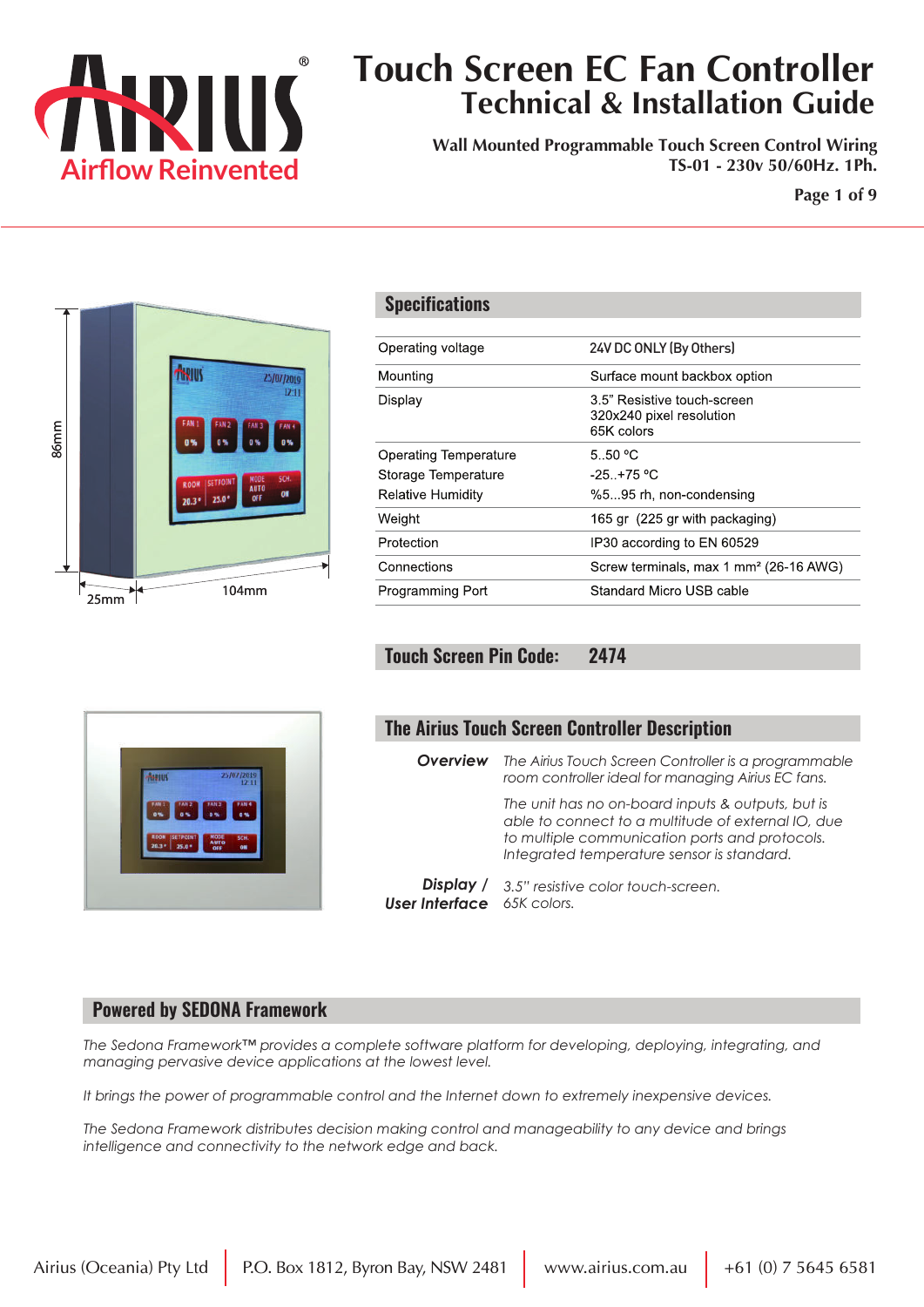

**Wall Mounted Programmable Touch Screen Control Wiring TS-01 - 230v 50/60Hz. 1Ph.**

**Page 1 of 9**



Asu

|                                                                                 |                                                                                                                                                                                                         |                   |                | 1              | 2 |     | 3                                             |                 | 5 |  |
|---------------------------------------------------------------------------------|---------------------------------------------------------------------------------------------------------------------------------------------------------------------------------------------------------|-------------------|----------------|----------------|---|-----|-----------------------------------------------|-----------------|---|--|
| <b>Specifications</b>                                                           |                                                                                                                                                                                                         |                   |                | R <sub>9</sub> |   |     | <b>FAN</b><br>R <sub>19</sub> R <sub>20</sub> |                 |   |  |
| Operating voltage                                                               |                                                                                                                                                                                                         | 24V DC ONLY       |                |                |   |     |                                               |                 |   |  |
| Mounting                                                                        |                                                                                                                                                                                                         | Surface mou       |                |                |   |     |                                               |                 |   |  |
| Display                                                                         |                                                                                                                                                                                                         | 1<br>R9           | $\overline{2}$ |                | 3 | FAN | 5<br>R <sub>19</sub> R <sub>20</sub>          | 6<br><b>R21</b> |   |  |
| <b>Operating Temperature</b><br>Storage Temperature<br><b>Relative Humidity</b> |                                                                                                                                                                                                         |                   |                |                |   |     |                                               |                 |   |  |
| Weight                                                                          |                                                                                                                                                                                                         |                   |                |                |   |     | M                                             |                 |   |  |
| Protection                                                                      |                                                                                                                                                                                                         |                   |                |                |   |     |                                               |                 |   |  |
| Connections                                                                     |                                                                                                                                                                                                         |                   |                |                |   |     |                                               |                 |   |  |
| Programming Port                                                                |                                                                                                                                                                                                         |                   |                |                |   |     |                                               |                 |   |  |
| <b>Touch Screen Pin Code:</b>                                                   |                                                                                                                                                                                                         | 2474<br>DU8<br>Δſ | ו טע<br>39     | 38             | 3 | 36  |                                               |                 |   |  |
| <b>The Airius Touch Screen Controller Description</b>                           |                                                                                                                                                                                                         |                   |                |                |   |     |                                               |                 |   |  |
| <b>Overview</b>                                                                 | The Airius Touch Screen Controller is a programmable<br>room controller ideal for managing Airius EC fans.                                                                                              |                   |                |                |   |     |                                               |                 |   |  |
|                                                                                 | The unit has no on-board inputs & outputs, but is<br>able to connect to a multitude of external IO, due<br>to multiple communication ports and protocols.<br>Integrated temperature sensor is standard. |                   |                |                |   |     |                                               |                 |   |  |

*Display / 3.5" resistive color touch-screen. User Interface 65K colors.*

#### **Powered by SEDONA Framework**

*The Sedona Framework™ provides a complete software platform for developing, deploying, integrating, and managing pervasive device applications at the lowest level.* 

*It brings the power of programmable control and the Internet down to extremely inexpensive devices.* 

*The Sedona Framework distributes decision making control and manageability to any device and brings intelligence and connectivity to the network edge and back.*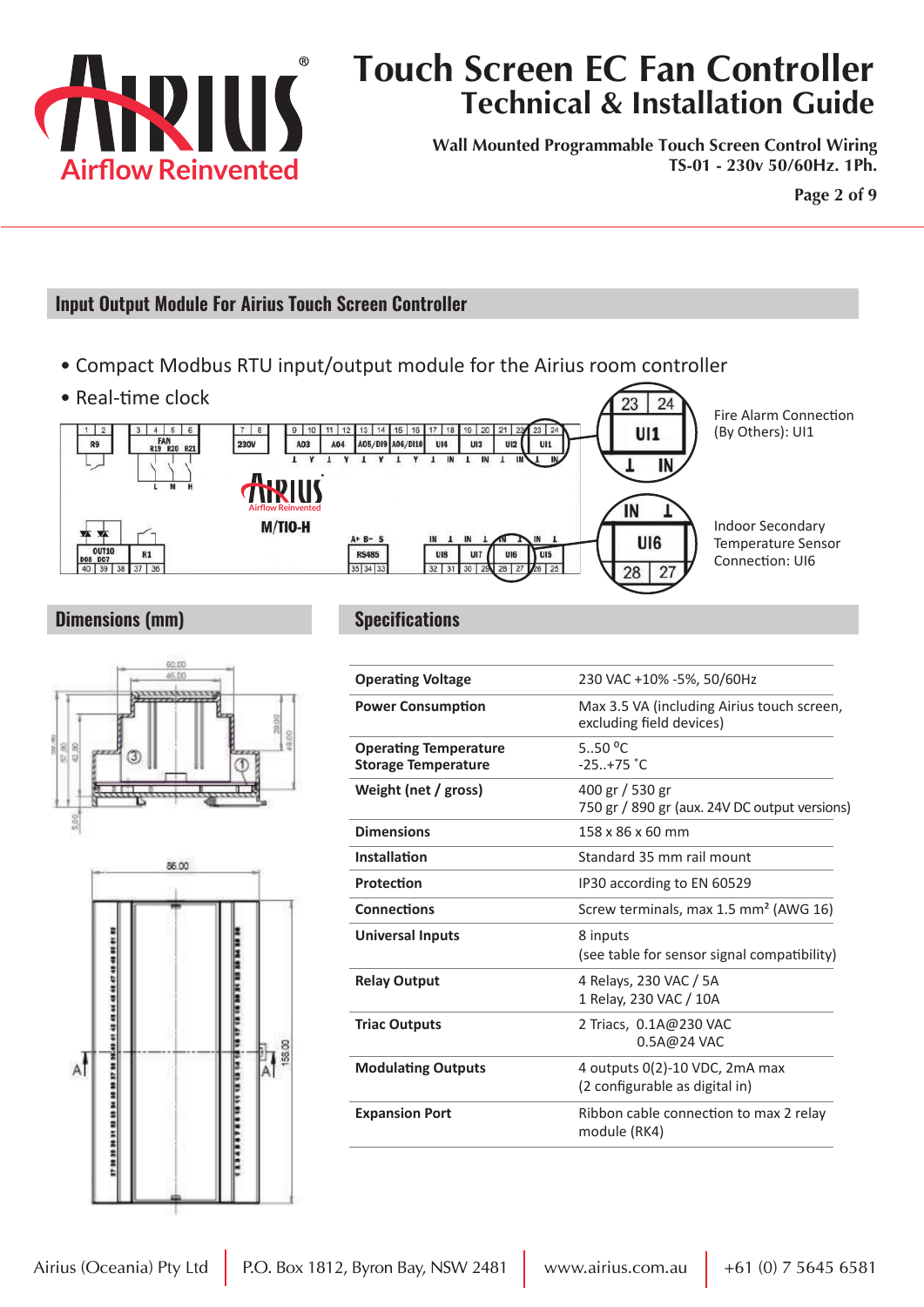

**Wall Mounted Programmable Touch Screen Control Wiring TS-01 - 230v 50/60Hz. 1Ph.**

**Page 2 of 9**

#### **Input Output Module For Airius Touch Screen Controller**

- Compact Modbus RTU input/output module for the Airius room controller
- Real-time clock



#### **Dimensions (mm)**





**Specifications**

| 230 VAC +10% -5%, 50/60Hz                                              |  |  |  |  |
|------------------------------------------------------------------------|--|--|--|--|
| Max 3.5 VA (including Airius touch screen,<br>excluding field devices) |  |  |  |  |
| 5.50 $^{\circ}$ C<br>$-25+75 °C$                                       |  |  |  |  |
| 400 gr / 530 gr<br>750 gr / 890 gr (aux. 24V DC output versions)       |  |  |  |  |
| 158 x 86 x 60 mm                                                       |  |  |  |  |
| Standard 35 mm rail mount                                              |  |  |  |  |
| IP30 according to EN 60529                                             |  |  |  |  |
| Screw terminals, max 1.5 mm <sup>2</sup> (AWG 16)                      |  |  |  |  |
| 8 inputs<br>(see table for sensor signal compatibility)                |  |  |  |  |
| 4 Relays, 230 VAC / 5A<br>1 Relay, 230 VAC / 10A                       |  |  |  |  |
| 2 Triacs, 0.1A@230 VAC<br>0.5A@24 VAC                                  |  |  |  |  |
| 4 outputs 0(2)-10 VDC, 2mA max<br>(2 configurable as digital in)       |  |  |  |  |
| Ribbon cable connection to max 2 relay<br>module (RK4)                 |  |  |  |  |
|                                                                        |  |  |  |  |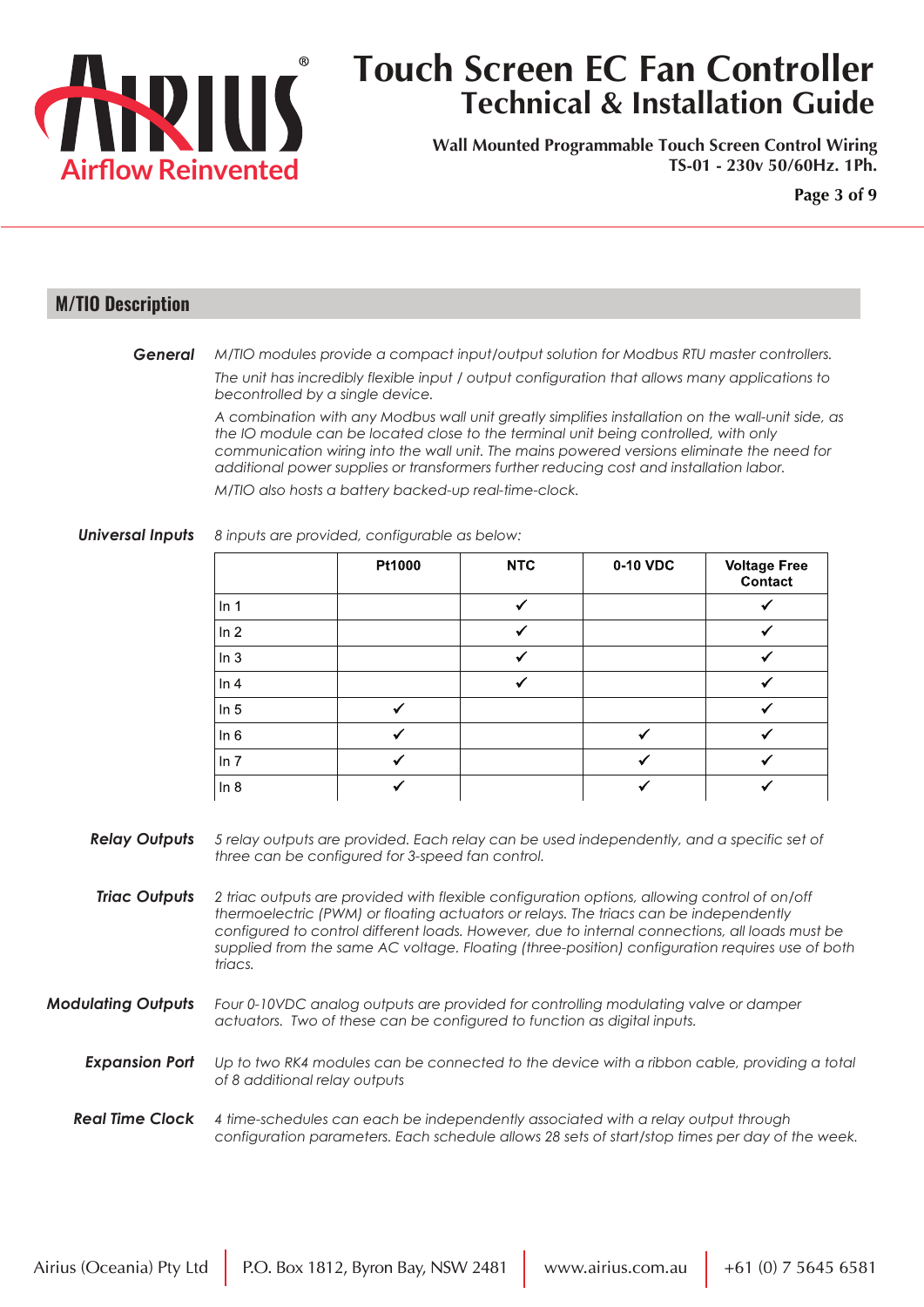

**Wall Mounted Programmable Touch Screen Control Wiring TS-01 - 230v 50/60Hz. 1Ph.**

**Page 3 of 9**

#### **M/TIO Description**

*M/TIO modules provide a compact input/output solution for Modbus RTU master controllers. General*

> *The unit has incredibly flexible input / output configuration that allows many applications to becontrolled by a single device.*

*A combination with any Modbus wall unit greatly simplifies installation on the wall-unit side, as the IO module can be located close to the terminal unit being controlled, with only communication wiring into the wall unit. The mains powered versions eliminate the need for additional power supplies or transformers further reducing cost and installation labor.*

*M/TIO also hosts a battery backed-up real-time-clock.*

#### *Universal Inputs 8 inputs are provided, configurable as below:*

|        | Pt1000 | <b>NTC</b> | 0-10 VDC | <b>Voltage Free</b><br>Contact |  |  |
|--------|--------|------------|----------|--------------------------------|--|--|
| In 1   |        | ✓          |          |                                |  |  |
| ln 2   |        |            |          |                                |  |  |
| ln 3   |        |            |          |                                |  |  |
| ln 4   |        |            |          |                                |  |  |
| ln 5   | ✓      |            |          |                                |  |  |
| In $6$ | ┙      |            | ✓        |                                |  |  |
| ln 7   | ✔      |            |          |                                |  |  |
| ln 8   |        |            |          |                                |  |  |

- *Relay Outputs 5 relay outputs are provided. Each relay can be used independently, and a specific set of three can be configured for 3-speed fan control.*
- *Triac Outputs 2 triac outputs are provided with flexible configuration options, allowing control of on/off thermoelectric (PWM) or floating actuators or relays. The triacs can be independently configured to control different loads. However, due to internal connections, all loads must be supplied from the same AC voltage. Floating (three-position) configuration requires use of both triacs.*

*Modulating Outputs Four 0-10VDC analog outputs are provided for controlling modulating valve or damper actuators. Two of these can be configured to function as digital inputs.*

**Expansion Port** Up to two RK4 modules can be connected to the device with a ribbon cable, providing a total *of 8 additional relay outputs*

#### *Real Time Clock 4 time-schedules can each be independently associated with a relay output through configuration parameters. Each schedule allows 28 sets of start/stop times per day of the week.*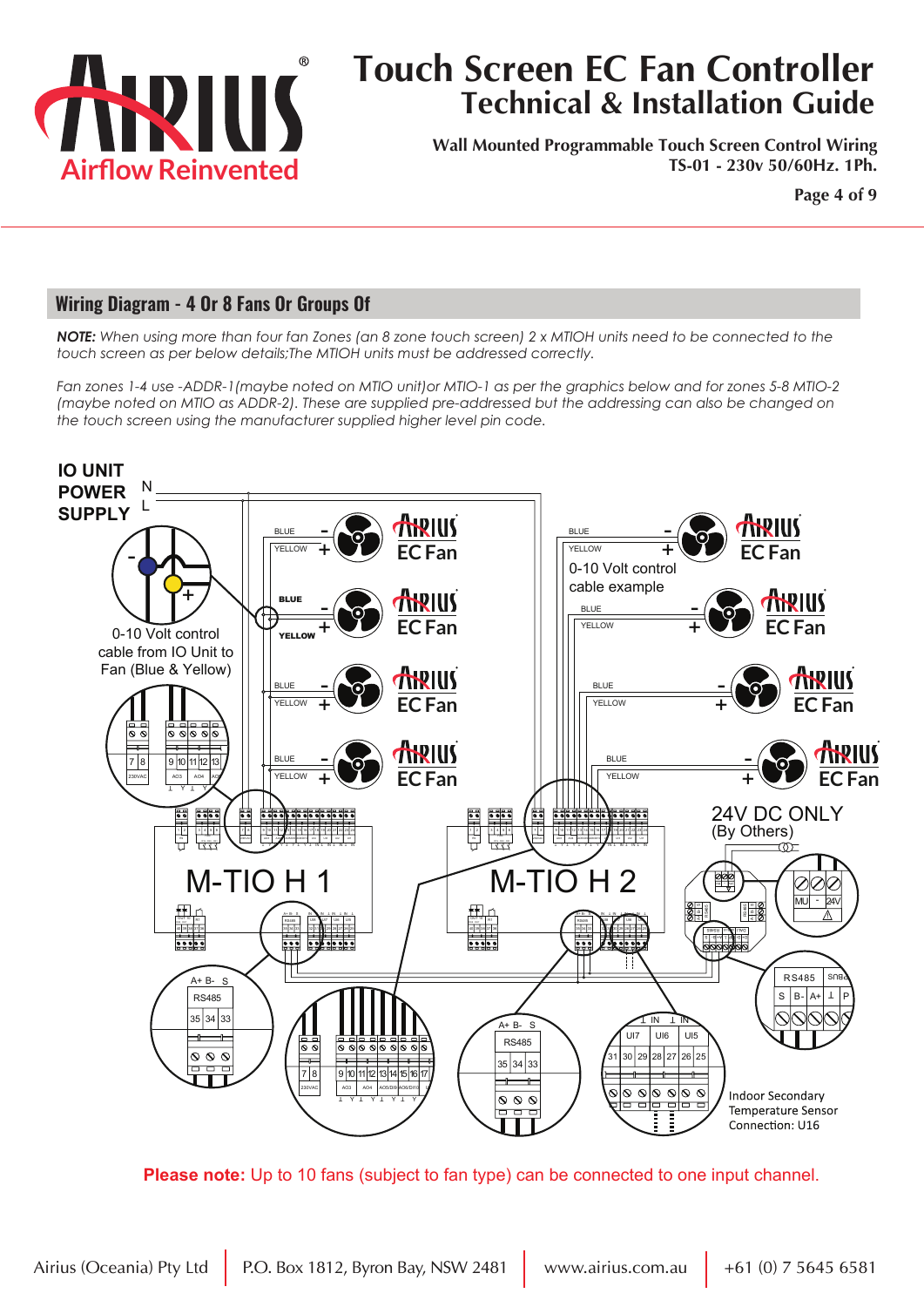

**Wall Mounted Programmable Touch Screen Control Wiring TS-01 - 230v 50/60Hz. 1Ph.**

**Page 4 of 9**

#### **Wiring Diagram - 4 Or 8 Fans Or Groups Of**

*NOTE: When using more than four fan Zones (an 8 zone touch screen) 2 x MTIOH units need to be connected to the touch screen as per below details;The MTIOH units must be addressed correctly.*

*Fan zones 1-4 use -ADDR-1(maybe noted on MTIO unit)or MTIO-1 as per the graphics below and for zones 5-8 MTIO-2 (maybe noted on MTIO as ADDR-2). These are supplied pre-addressed but the addressing can also be changed on the touch screen using the manufacturer supplied higher level pin code.* 



**Please note:** Up to 10 fans (subject to fan type) can be connected to one input channel.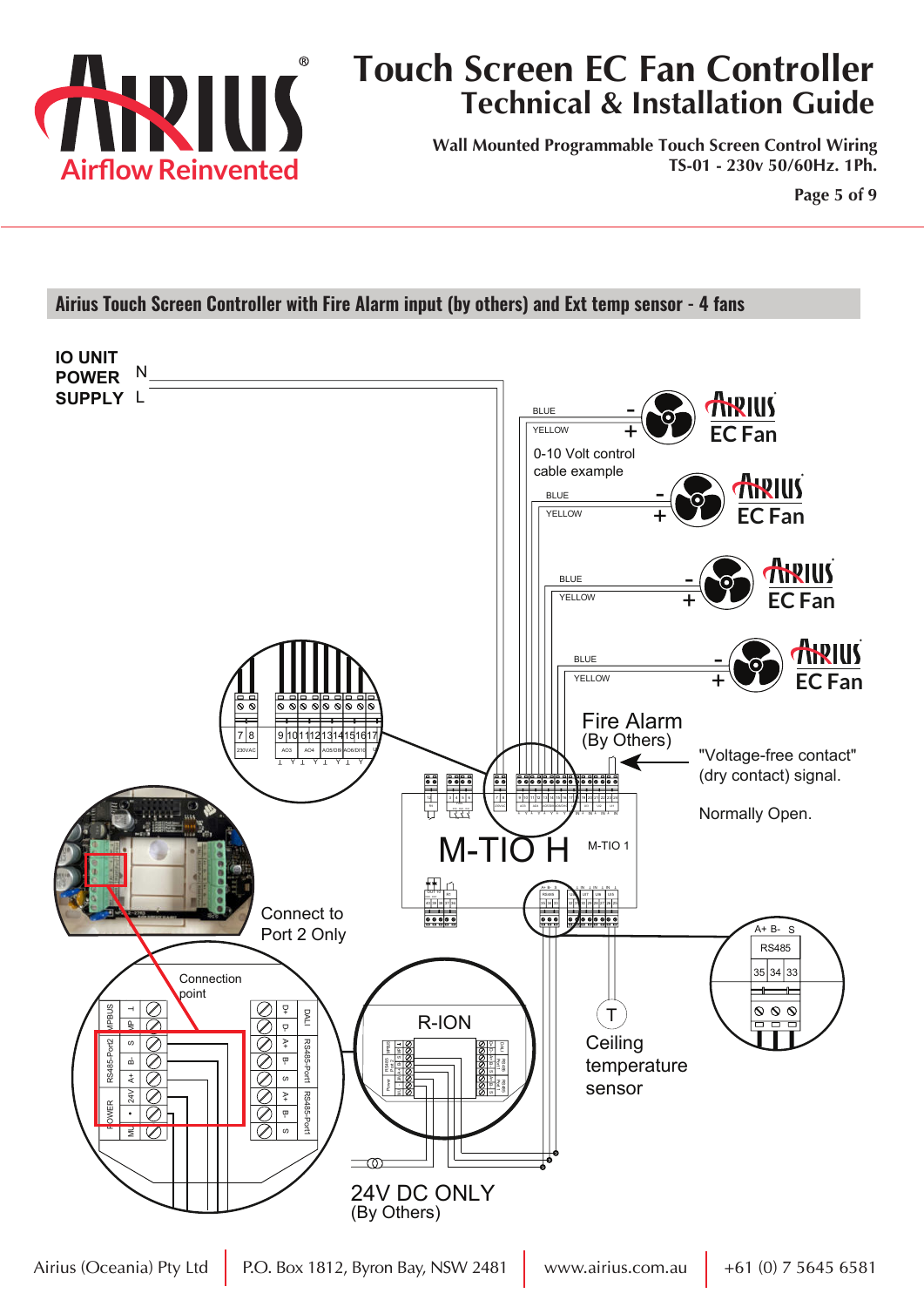

**Wall Mounted Programmable Touch Screen Control Wiring TS-01 - 230v 50/60Hz. 1Ph.**

**Page 5 of 9**

#### **Airius Touch Screen Controller with Fire Alarm input (by others) and Ext temp sensor - 4 fans**

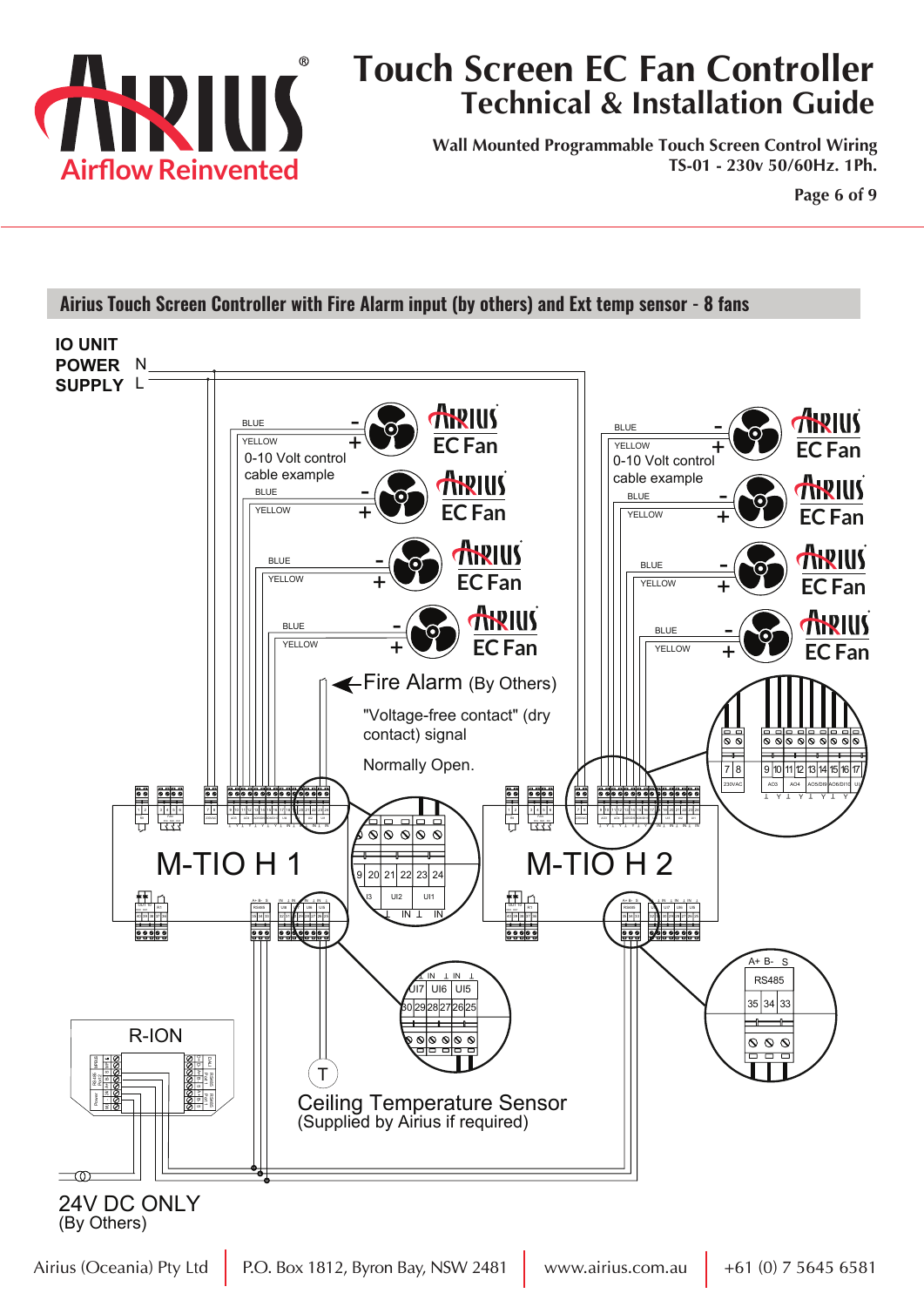

**Wall Mounted Programmable Touch Screen Control Wiring TS-01 - 230v 50/60Hz. 1Ph.**

**Page 6 of 9**

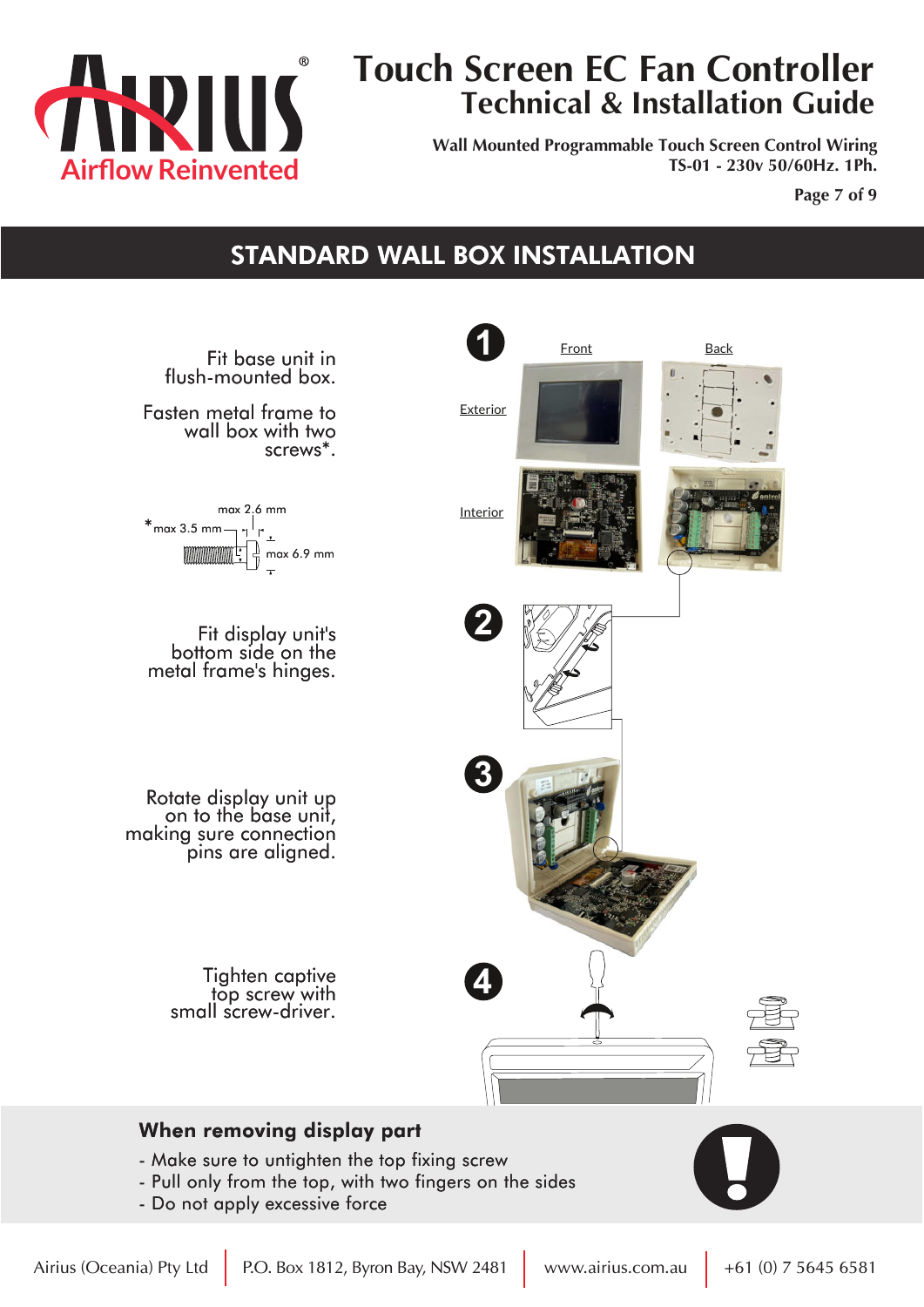

**Wall Mounted Programmable Touch Screen Control Wiring TS-01 - 230v 50/60Hz. 1Ph.**

**Page 7 of 9**

### STANDARD WALL BOX INSTALLATION